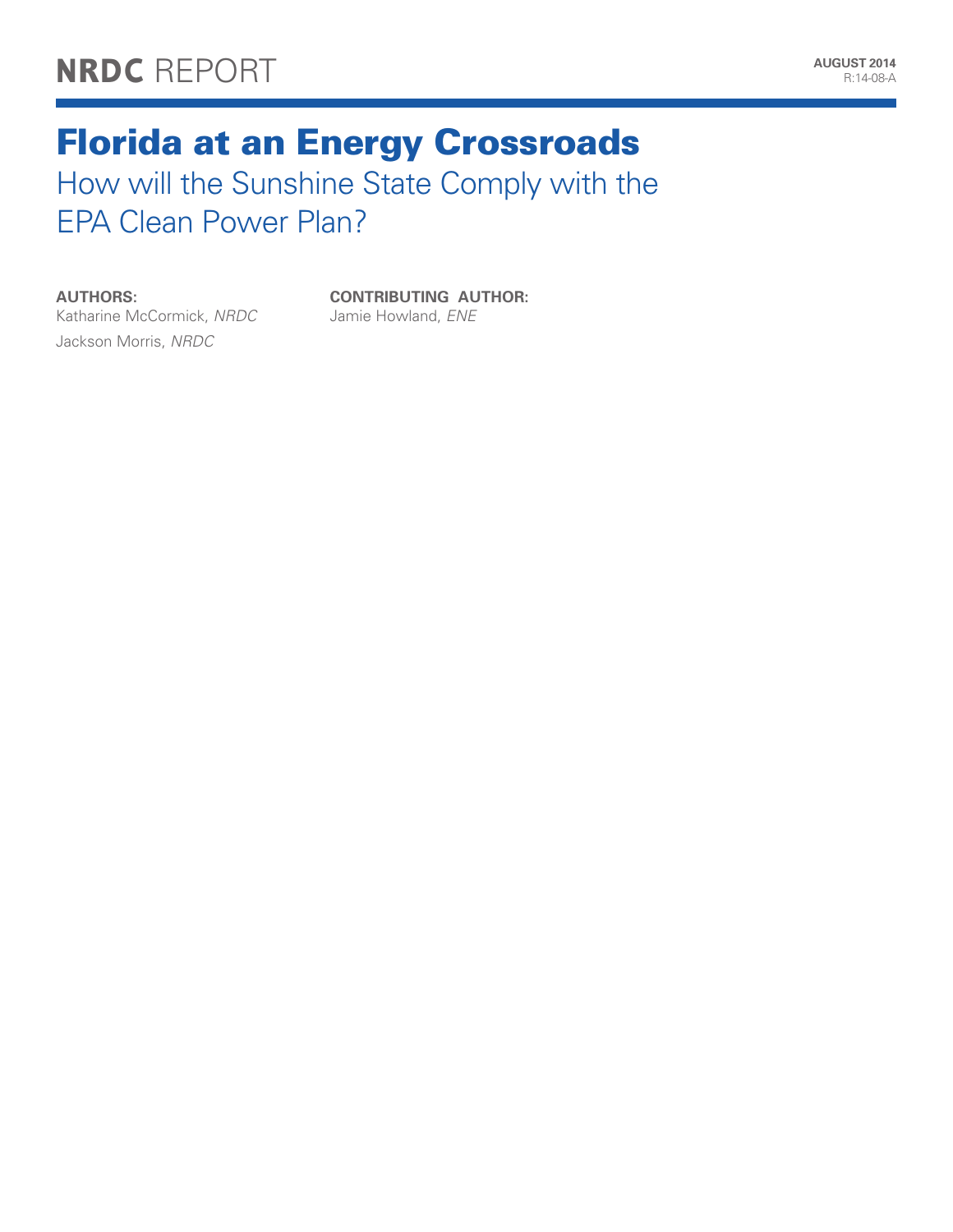# Florida at an Energy Crossroads

How will the Sunshine State Comply with the EPA Clean Power Plan?

## **Authors:**

Katharine McCormick, *NRDC* Jackson Morris, *NRDC*

**Contributing Author:** 

Jamie Howland, *ENE*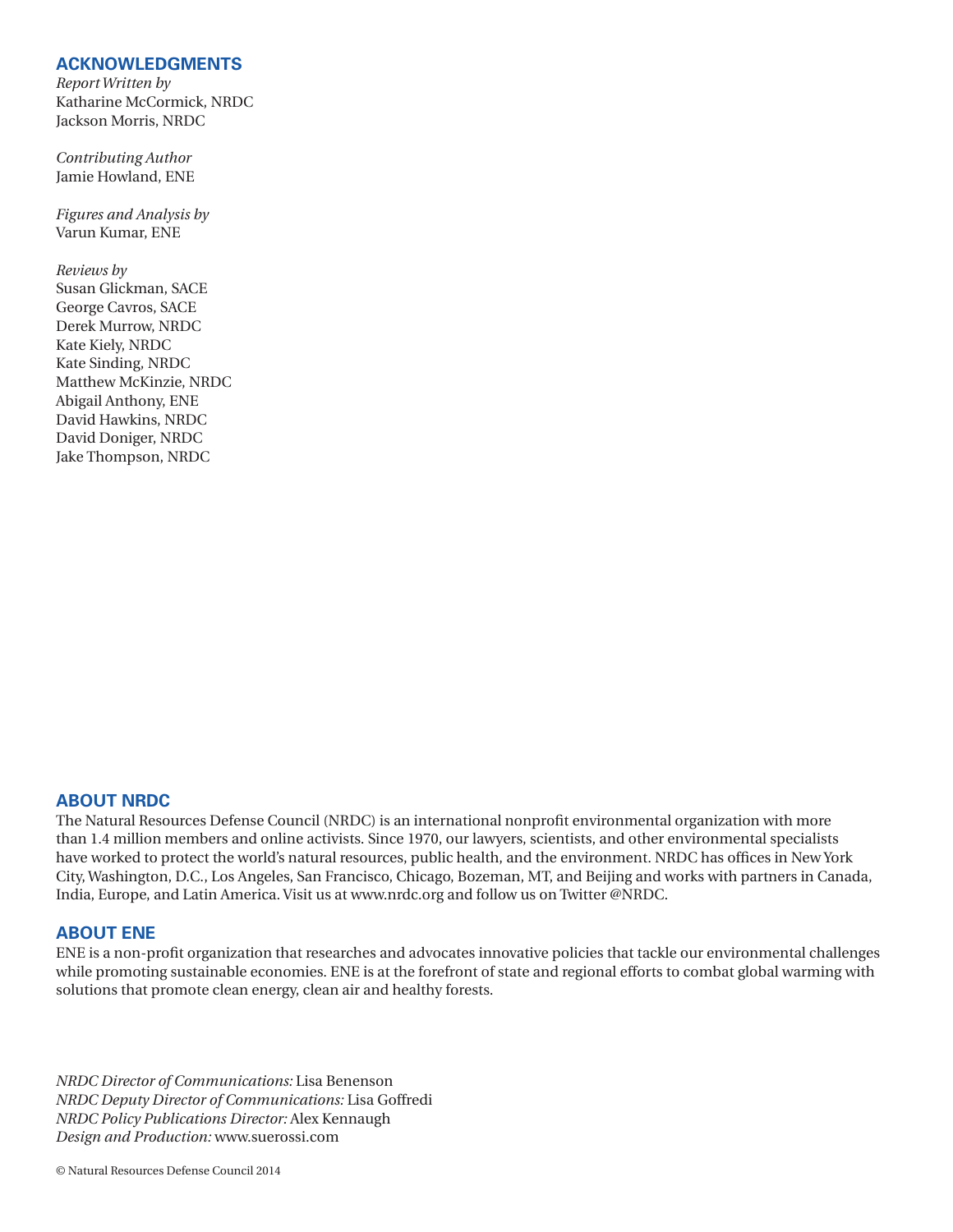## **ACKNOWLEDGMENTS**

*Report Written by* Katharine McCormick, NRDC Jackson Morris, NRDC

*Contributing Author* Jamie Howland, ENE

*Figures and Analysis by* Varun Kumar, ENE

*Reviews by* Susan Glickman, SACE George Cavros, SACE Derek Murrow, NRDC Kate Kiely, NRDC Kate Sinding, NRDC Matthew McKinzie, NRDC Abigail Anthony, ENE David Hawkins, NRDC David Doniger, NRDC Jake Thompson, NRDC

## **ABOUT NRDC**

The Natural Resources Defense Council (NRDC) is an international nonprofit environmental organization with more than 1.4 million members and online activists. Since 1970, our lawyers, scientists, and other environmental specialists have worked to protect the world's natural resources, public health, and the environment. NRDC has offices in New York City, Washington, D.C., Los Angeles, San Francisco, Chicago, Bozeman, MT, and Beijing and works with partners in Canada, India, Europe, and Latin America. Visit us at www.nrdc.org and follow us on Twitter @NRDC.

## **ABOUT ENE**

ENE is a non-profit organization that researches and advocates innovative policies that tackle our environmental challenges while promoting sustainable economies. ENE is at the forefront of state and regional efforts to combat global warming with solutions that promote clean energy, clean air and healthy forests.

*NRDC Director of Communications:* Lisa Benenson *NRDC Deputy Director of Communications:* Lisa Goffredi *NRDC Policy Publications Director:* Alex Kennaugh *Design and Production:* www.suerossi.com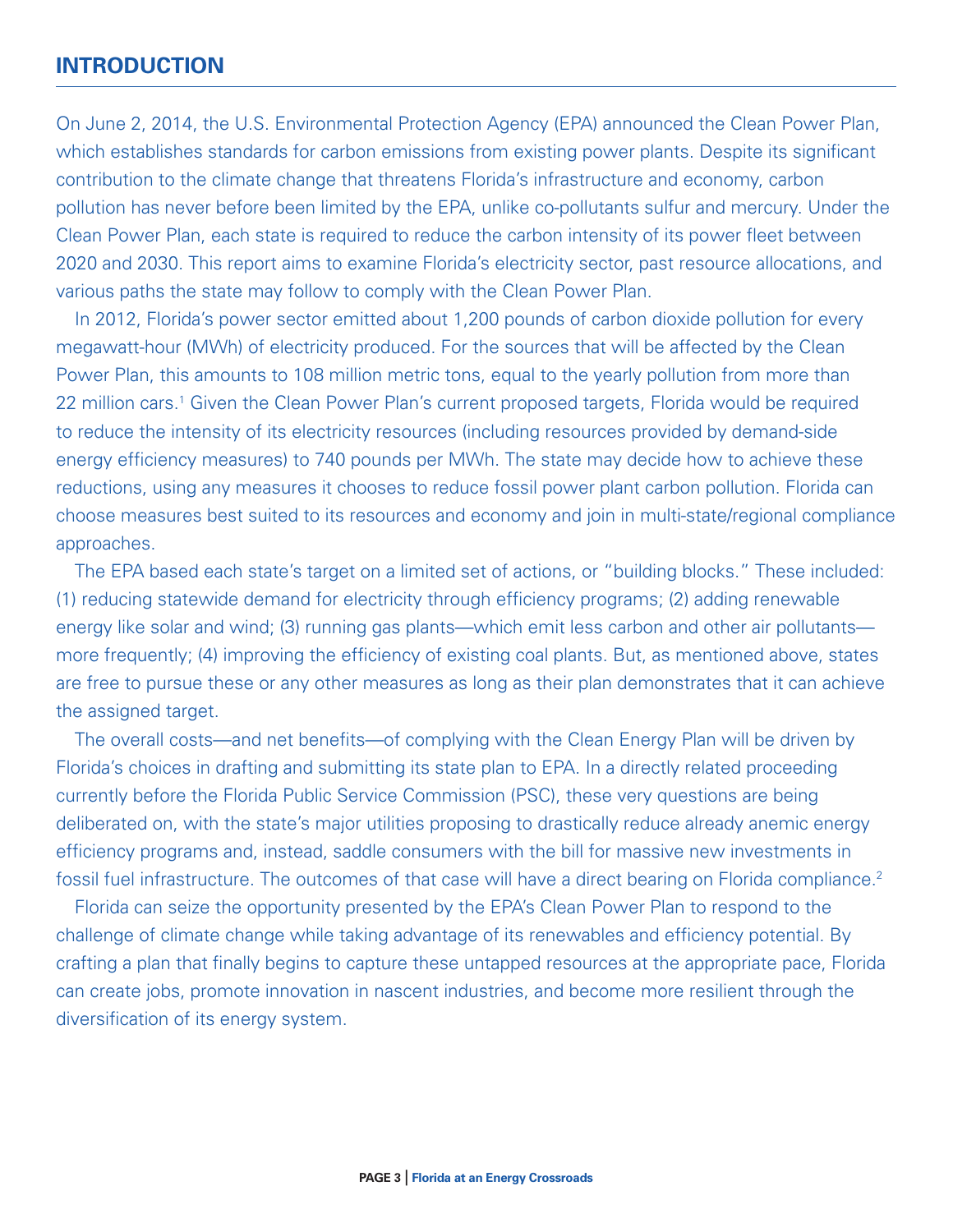On June 2, 2014, the U.S. Environmental Protection Agency (EPA) announced the Clean Power Plan, which establishes standards for carbon emissions from existing power plants. Despite its significant contribution to the climate change that threatens Florida's infrastructure and economy, carbon pollution has never before been limited by the EPA, unlike co-pollutants sulfur and mercury. Under the Clean Power Plan, each state is required to reduce the carbon intensity of its power fleet between 2020 and 2030. This report aims to examine Florida's electricity sector, past resource allocations, and various paths the state may follow to comply with the Clean Power Plan.

In 2012, Florida's power sector emitted about 1,200 pounds of carbon dioxide pollution for every megawatt-hour (MWh) of electricity produced. For the sources that will be affected by the Clean Power Plan, this amounts to 108 million metric tons, equal to the yearly pollution from more than 22 million cars.<sup>1</sup> Given the Clean Power Plan's current proposed targets, Florida would be required to reduce the intensity of its electricity resources (including resources provided by demand-side energy efficiency measures) to 740 pounds per MWh. The state may decide how to achieve these reductions, using any measures it chooses to reduce fossil power plant carbon pollution. Florida can choose measures best suited to its resources and economy and join in multi-state/regional compliance approaches.

The EPA based each state's target on a limited set of actions, or "building blocks." These included: (1) reducing statewide demand for electricity through efficiency programs; (2) adding renewable energy like solar and wind; (3) running gas plants—which emit less carbon and other air pollutants more frequently; (4) improving the efficiency of existing coal plants. But, as mentioned above, states are free to pursue these or any other measures as long as their plan demonstrates that it can achieve the assigned target.

The overall costs—and net benefits—of complying with the Clean Energy Plan will be driven by Florida's choices in drafting and submitting its state plan to EPA. In a directly related proceeding currently before the Florida Public Service Commission (PSC), these very questions are being deliberated on, with the state's major utilities proposing to drastically reduce already anemic energy efficiency programs and, instead, saddle consumers with the bill for massive new investments in fossil fuel infrastructure. The outcomes of that case will have a direct bearing on Florida compliance.<sup>2</sup>

Florida can seize the opportunity presented by the EPA's Clean Power Plan to respond to the challenge of climate change while taking advantage of its renewables and efficiency potential. By crafting a plan that finally begins to capture these untapped resources at the appropriate pace, Florida can create jobs, promote innovation in nascent industries, and become more resilient through the diversification of its energy system.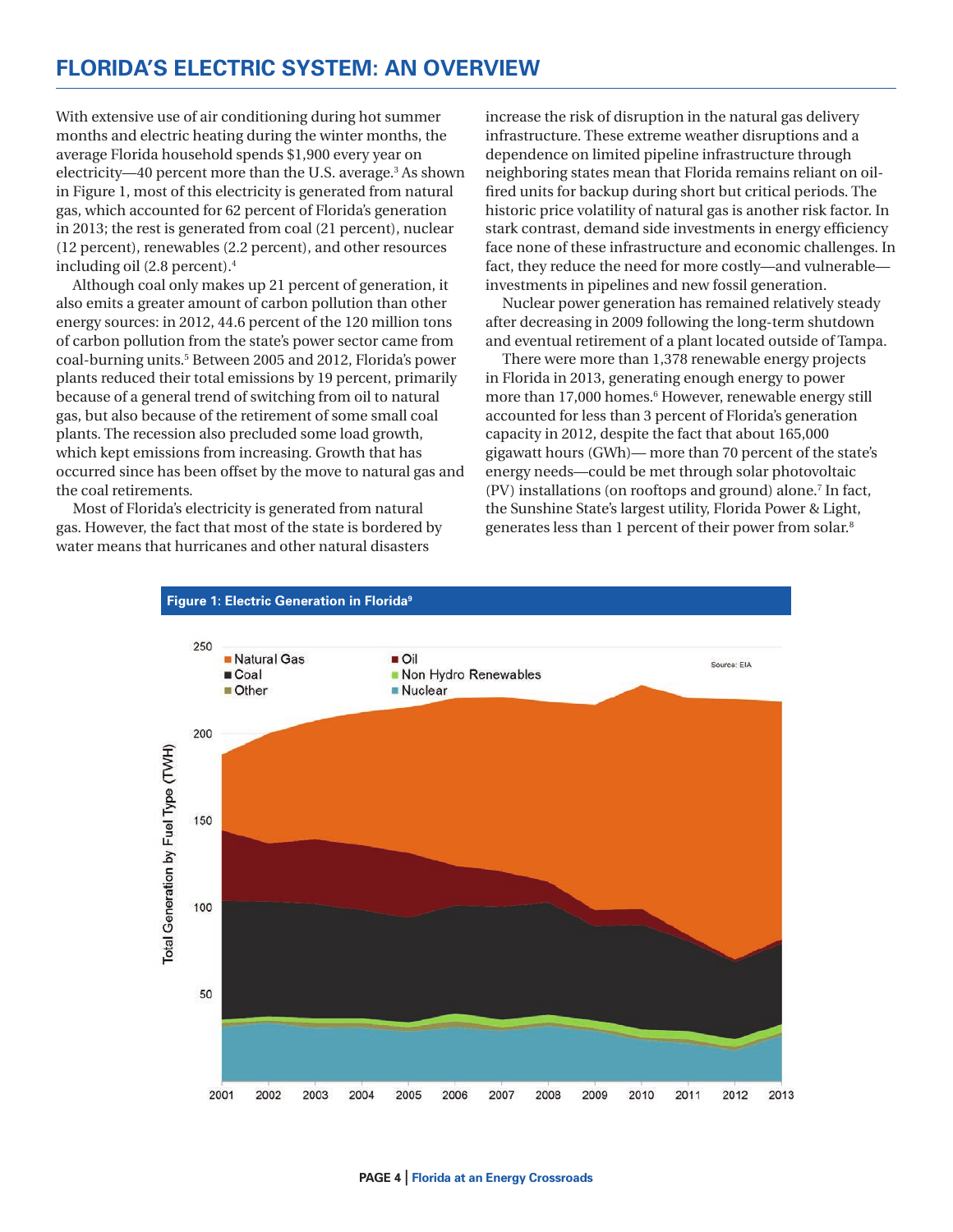## **Florida's electric system: an overview**

With extensive use of air conditioning during hot summer months and electric heating during the winter months, the average Florida household spends \$1,900 every year on electricity—40 percent more than the U.S. average.<sup>3</sup> As shown in Figure 1, most of this electricity is generated from natural gas, which accounted for 62 percent of Florida's generation in 2013; the rest is generated from coal (21 percent), nuclear (12 percent), renewables (2.2 percent), and other resources including oil (2.8 percent).4

Although coal only makes up 21 percent of generation, it also emits a greater amount of carbon pollution than other energy sources: in 2012, 44.6 percent of the 120 million tons of carbon pollution from the state's power sector came from coal-burning units.<sup>5</sup> Between 2005 and 2012, Florida's power plants reduced their total emissions by 19 percent, primarily because of a general trend of switching from oil to natural gas, but also because of the retirement of some small coal plants. The recession also precluded some load growth, which kept emissions from increasing. Growth that has occurred since has been offset by the move to natural gas and the coal retirements.

Most of Florida's electricity is generated from natural gas. However, the fact that most of the state is bordered by water means that hurricanes and other natural disasters

increase the risk of disruption in the natural gas delivery infrastructure. These extreme weather disruptions and a dependence on limited pipeline infrastructure through neighboring states mean that Florida remains reliant on oilfired units for backup during short but critical periods. The historic price volatility of natural gas is another risk factor. In stark contrast, demand side investments in energy efficiency face none of these infrastructure and economic challenges. In fact, they reduce the need for more costly—and vulnerable investments in pipelines and new fossil generation.

Nuclear power generation has remained relatively steady after decreasing in 2009 following the long-term shutdown and eventual retirement of a plant located outside of Tampa.

There were more than 1,378 renewable energy projects in Florida in 2013, generating enough energy to power more than 17,000 homes.<sup>6</sup> However, renewable energy still accounted for less than 3 percent of Florida's generation capacity in 2012, despite the fact that about 165,000 gigawatt hours (GWh)— more than 70 percent of the state's energy needs—could be met through solar photovoltaic (PV) installations (on rooftops and ground) alone.7 In fact, the Sunshine State's largest utility, Florida Power & Light, generates less than 1 percent of their power from solar.8

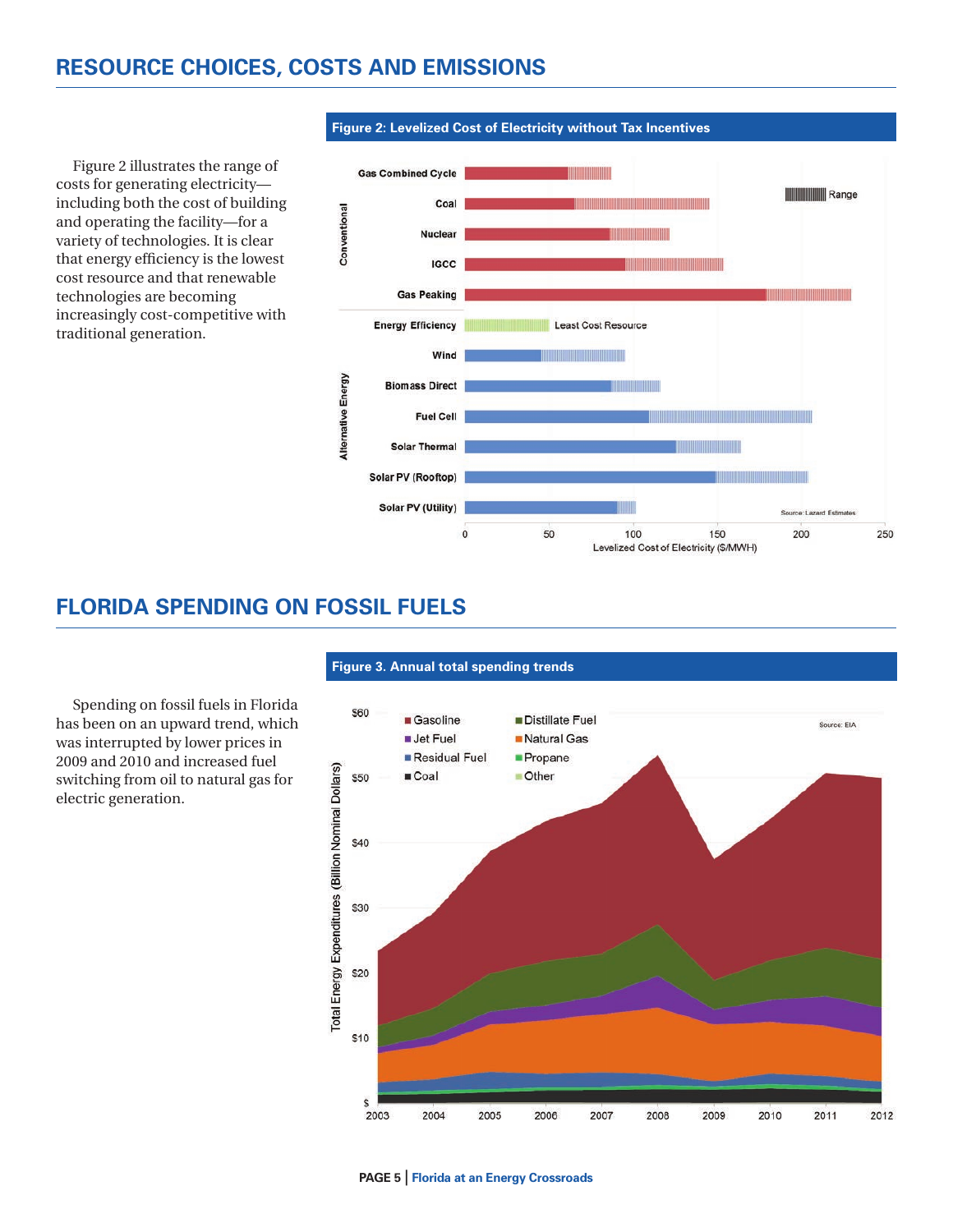## **Resource Choices, Costs and Emissions**

Figure 2 illustrates the range of costs for generating electricity including both the cost of building and operating the facility—for a variety of technologies. It is clear that energy efficiency is the lowest cost resource and that renewable technologies are becoming increasingly cost-competitive with traditional generation.



## **Florida Spending on Fossil Fuels**

Spending on fossil fuels in Florida has been on an upward trend, which was interrupted by lower prices in 2009 and 2010 and increased fuel switching from oil to natural gas for electric generation.

### **Figure 3. Annual total spending trends**

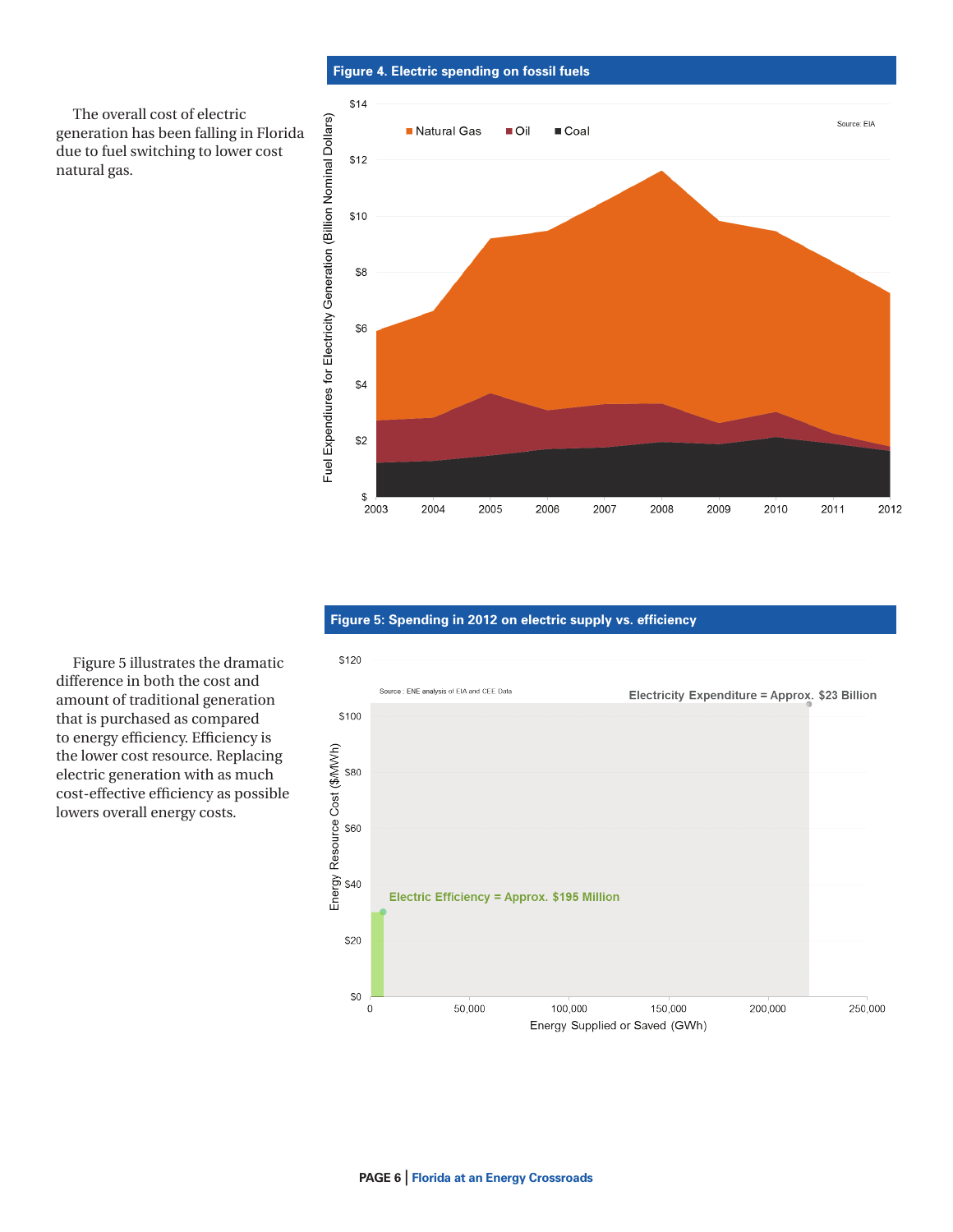### **Figure 4. Electric spending on fossil fuels**

The overall cost of electric generation has been falling in Florida due to fuel switching to lower cost natural gas.



### **Figure 5: Spending in 2012 on electric supply vs. efficiency**



difference in both the cost and amount of traditional generation that is purchased as compared to energy efficiency. Efficiency is the lower cost resource. Replacing electric generation with as much cost-effective efficiency as possible lowers overall energy costs.

Figure 5 illustrates the dramatic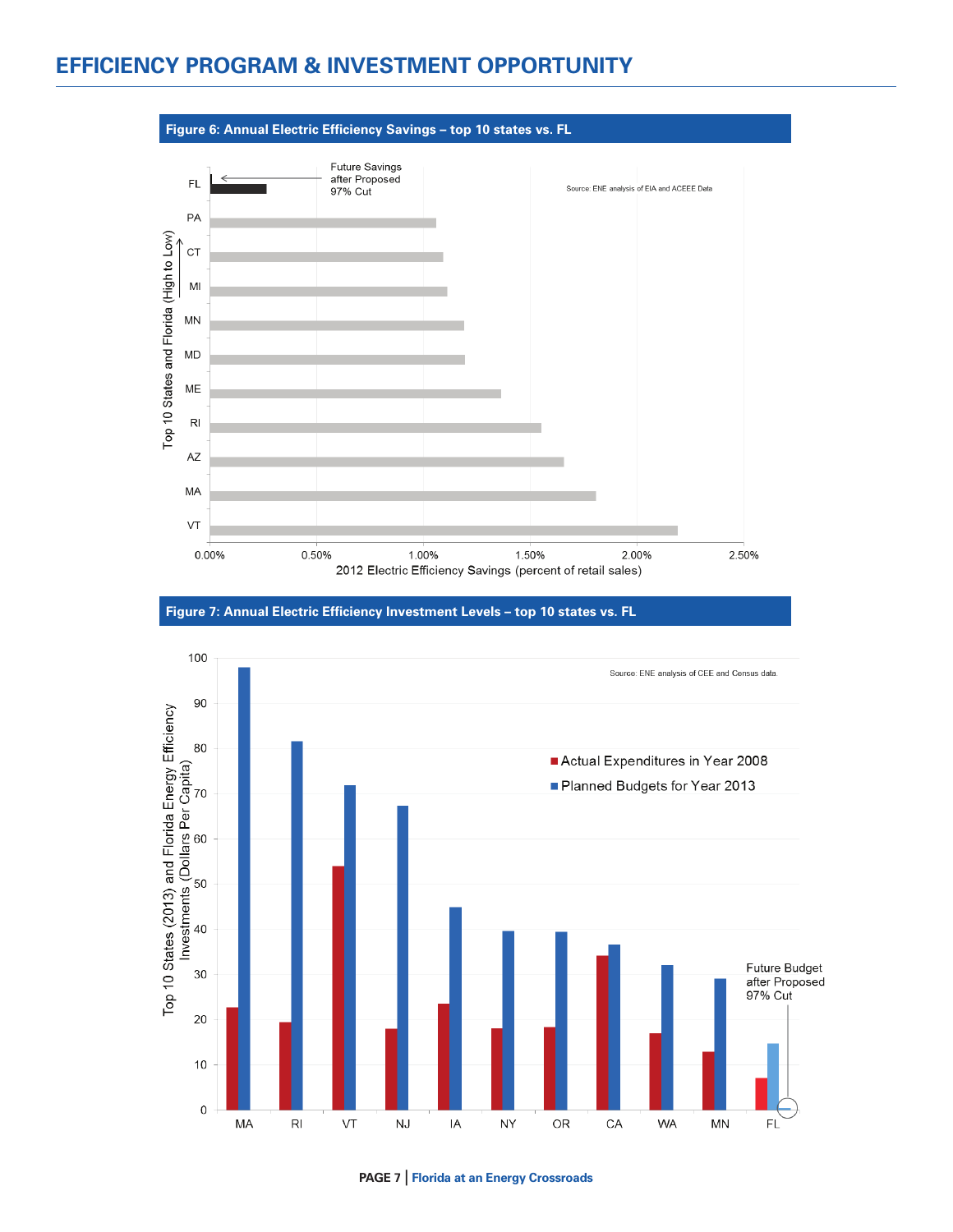## **Efficiency Program & Investment Opportunity**







**PAGE 7** | **Florida at an Energy Crossroads**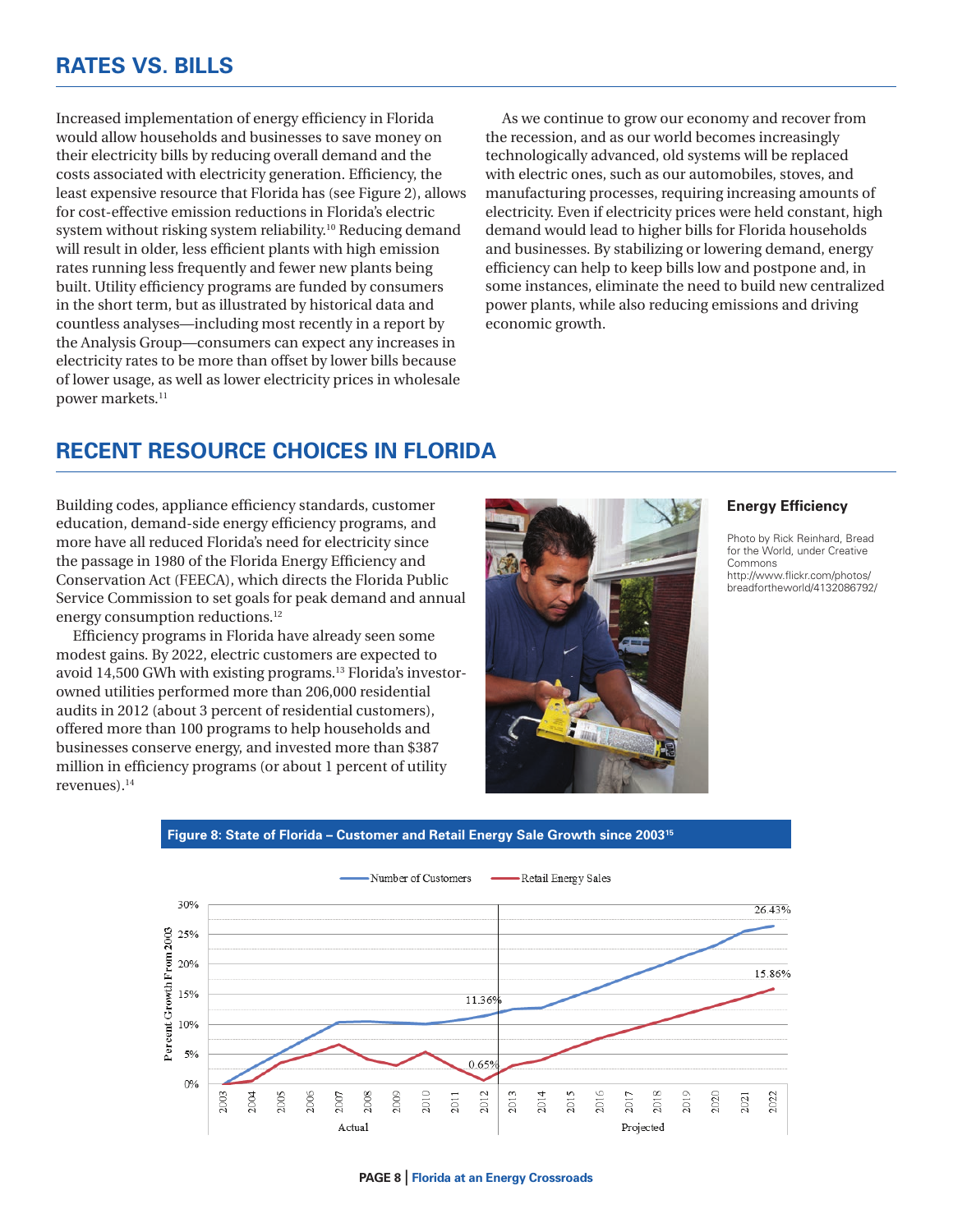## **Rates vs. Bills**

Increased implementation of energy efficiency in Florida would allow households and businesses to save money on their electricity bills by reducing overall demand and the costs associated with electricity generation. Efficiency, the least expensive resource that Florida has (see Figure 2), allows for cost-effective emission reductions in Florida's electric system without risking system reliability.<sup>10</sup> Reducing demand will result in older, less efficient plants with high emission rates running less frequently and fewer new plants being built. Utility efficiency programs are funded by consumers in the short term, but as illustrated by historical data and countless analyses—including most recently in a report by the Analysis Group—consumers can expect any increases in electricity rates to be more than offset by lower bills because of lower usage, as well as lower electricity prices in wholesale power markets.<sup>11</sup>

As we continue to grow our economy and recover from the recession, and as our world becomes increasingly technologically advanced, old systems will be replaced with electric ones, such as our automobiles, stoves, and manufacturing processes, requiring increasing amounts of electricity. Even if electricity prices were held constant, high demand would lead to higher bills for Florida households and businesses. By stabilizing or lowering demand, energy efficiency can help to keep bills low and postpone and, in some instances, eliminate the need to build new centralized power plants, while also reducing emissions and driving economic growth.

## **Recent Resource Choices in Florida**

Building codes, appliance efficiency standards, customer education, demand-side energy efficiency programs, and more have all reduced Florida's need for electricity since the passage in 1980 of the Florida Energy Efficiency and Conservation Act (FEECA), which directs the Florida Public Service Commission to set goals for peak demand and annual energy consumption reductions.12

Efficiency programs in Florida have already seen some modest gains. By 2022, electric customers are expected to avoid 14,500 GWh with existing programs.13 Florida's investorowned utilities performed more than 206,000 residential audits in 2012 (about 3 percent of residential customers), offered more than 100 programs to help households and businesses conserve energy, and invested more than \$387 million in efficiency programs (or about 1 percent of utility revenues). $^{14}$ 

### **Energy Efficiency**

Photo by Rick Reinhard, Bread for the World, under Creative Commons http://www.flickr.com/photos/ [breadfortheworld/4132086792/](http://www.flickr.com/photos/breadfortheworld/4132086792/)

### Number of Customers Retail Energy Sales 30% 26 43% Percent Growth From 2003 25% 20% 15.86% 15%  $11.36$ <sup>6</sup>  $10%$ 5%  $0.65$  $0%$ 2012 2016 2018 **AUCC** 2005 2006 2008 2009 2010 2013 2014 2015 2019 2022 2003 2017 2020 2007  $2011$ 2021 Actual Projected

### **Figure 8: State of Florida – Customer and Retail Energy Sale Growth since 200315**

**PAGE 8** | **Florida at an Energy Crossroads**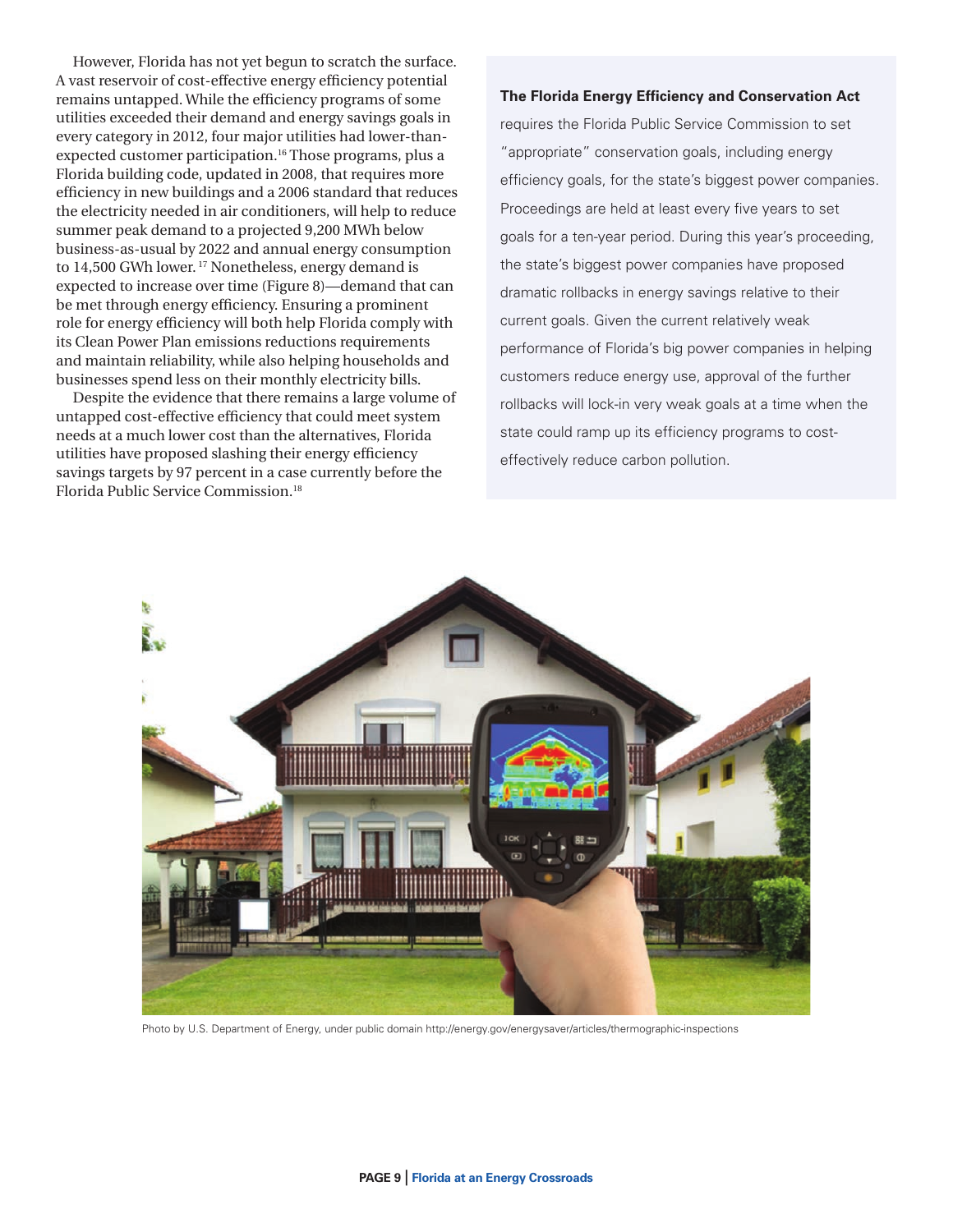However, Florida has not yet begun to scratch the surface. A vast reservoir of cost-effective energy efficiency potential remains untapped. While the efficiency programs of some utilities exceeded their demand and energy savings goals in every category in 2012, four major utilities had lower-thanexpected customer participation.16 Those programs, plus a Florida building code, updated in 2008, that requires more efficiency in new buildings and a 2006 standard that reduces the electricity needed in air conditioners, will help to reduce summer peak demand to a projected 9,200 MWh below business-as-usual by 2022 and annual energy consumption to 14,500 GWh lower.<sup>17</sup> Nonetheless, energy demand is expected to increase over time (Figure 8)—demand that can be met through energy efficiency. Ensuring a prominent role for energy efficiency will both help Florida comply with its Clean Power Plan emissions reductions requirements and maintain reliability, while also helping households and businesses spend less on their monthly electricity bills.

Despite the evidence that there remains a large volume of untapped cost-effective efficiency that could meet system needs at a much lower cost than the alternatives, Florida utilities have proposed slashing their energy efficiency savings targets by 97 percent in a case currently before the Florida Public Service Commission.18

### **The Florida Energy Efficiency and Conservation Act**

requires the Florida Public Service Commission to set "appropriate" conservation goals, including energy efficiency goals, for the state's biggest power companies. Proceedings are held at least every five years to set goals for a ten-year period. During this year's proceeding, the state's biggest power companies have proposed dramatic rollbacks in energy savings relative to their current goals. Given the current relatively weak performance of Florida's big power companies in helping customers reduce energy use, approval of the further rollbacks will lock-in very weak goals at a time when the state could ramp up its efficiency programs to costeffectively reduce carbon pollution.



Photo by U.S. Department of Energy, under public domain <http://energy.gov/energysaver/articles/thermographic-inspections>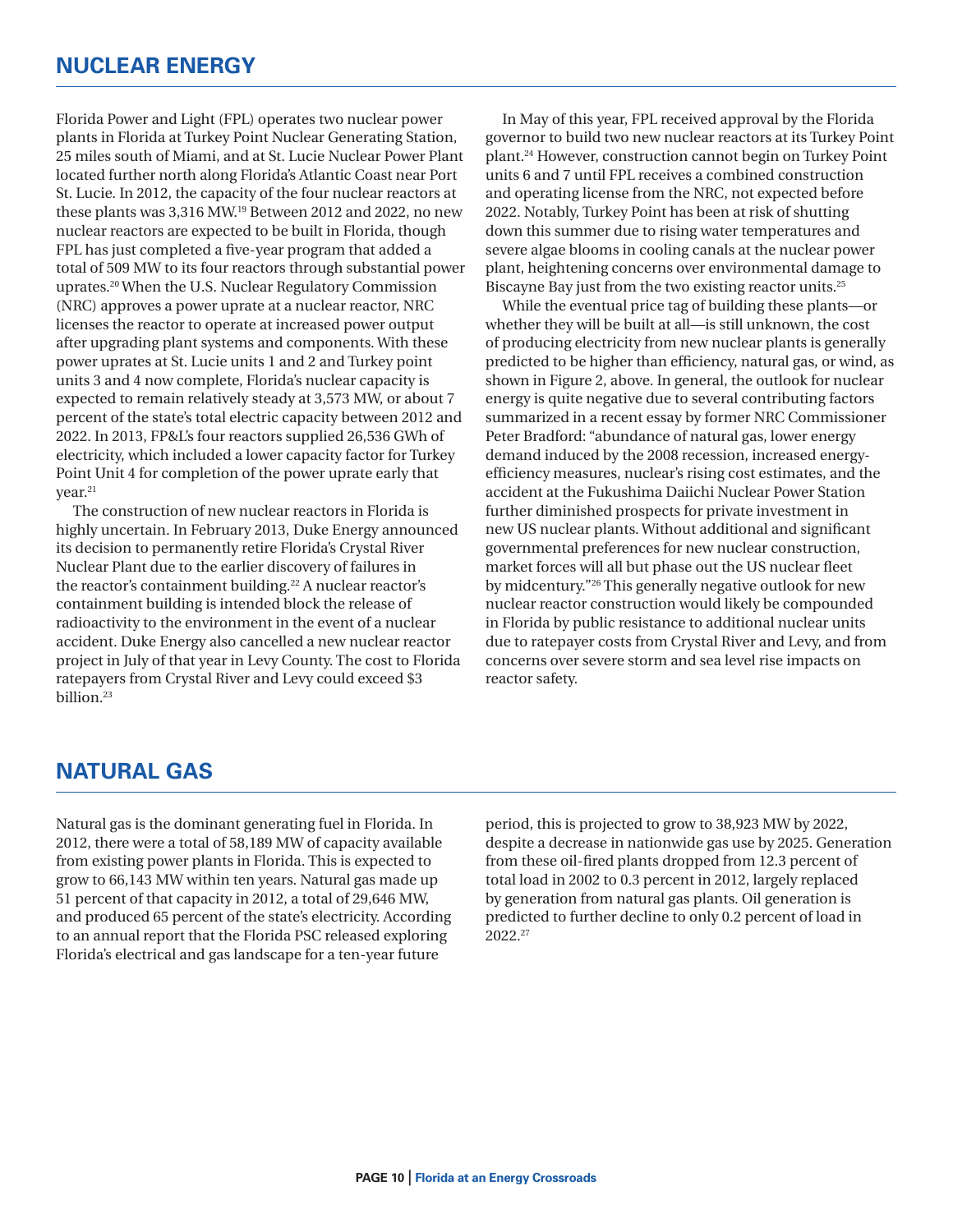Florida Power and Light (FPL) operates two nuclear power plants in Florida at Turkey Point Nuclear Generating Station, 25 miles south of Miami, and at St. Lucie Nuclear Power Plant located further north along Florida's Atlantic Coast near Port St. Lucie. In 2012, the capacity of the four nuclear reactors at these plants was 3,316 MW.19 Between 2012 and 2022, no new nuclear reactors are expected to be built in Florida, though FPL has just completed a five-year program that added a total of 509 MW to its four reactors through substantial power uprates.20 When the U.S. Nuclear Regulatory Commission (NRC) approves a power uprate at a nuclear reactor, NRC licenses the reactor to operate at increased power output after upgrading plant systems and components. With these power uprates at St. Lucie units 1 and 2 and Turkey point units 3 and 4 now complete, Florida's nuclear capacity is expected to remain relatively steady at 3,573 MW, or about 7 percent of the state's total electric capacity between 2012 and 2022. In 2013, FP&L's four reactors supplied 26,536 GWh of electricity, which included a lower capacity factor for Turkey Point Unit 4 for completion of the power uprate early that year.<sup>21</sup>

The construction of new nuclear reactors in Florida is highly uncertain. In February 2013, Duke Energy announced its decision to permanently retire Florida's Crystal River Nuclear Plant due to the earlier discovery of failures in the reactor's containment building.<sup>22</sup> A nuclear reactor's containment building is intended block the release of radioactivity to the environment in the event of a nuclear accident. Duke Energy also cancelled a new nuclear reactor project in July of that year in Levy County. The cost to Florida ratepayers from Crystal River and Levy could exceed \$3 billion.<sup>23</sup>

In May of this year, FPL received approval by the Florida governor to build two new nuclear reactors at its Turkey Point plant.24 However, construction cannot begin on Turkey Point units 6 and 7 until FPL receives a combined construction and operating license from the NRC, not expected before 2022. Notably, Turkey Point has been at risk of shutting down this summer due to rising water temperatures and severe algae blooms in cooling canals at the nuclear power plant, heightening concerns over environmental damage to Biscayne Bay just from the two existing reactor units.<sup>25</sup>

While the eventual price tag of building these plants—or whether they will be built at all—is still unknown, the cost of producing electricity from new nuclear plants is generally predicted to be higher than efficiency, natural gas, or wind, as shown in Figure 2, above. In general, the outlook for nuclear energy is quite negative due to several contributing factors summarized in a recent essay by former NRC Commissioner Peter Bradford: "abundance of natural gas, lower energy demand induced by the 2008 recession, increased energyefficiency measures, nuclear's rising cost estimates, and the accident at the Fukushima Daiichi Nuclear Power Station further diminished prospects for private investment in new US nuclear plants. Without additional and significant governmental preferences for new nuclear construction, market forces will all but phase out the US nuclear fleet by midcentury."26 This generally negative outlook for new nuclear reactor construction would likely be compounded in Florida by public resistance to additional nuclear units due to ratepayer costs from Crystal River and Levy, and from concerns over severe storm and sea level rise impacts on reactor safety.

## **Natural Gas**

Natural gas is the dominant generating fuel in Florida. In 2012, there were a total of 58,189 MW of capacity available from existing power plants in Florida. This is expected to grow to 66,143 MW within ten years. Natural gas made up 51 percent of that capacity in 2012, a total of 29,646 MW, and produced 65 percent of the state's electricity. According to an annual report that the Florida PSC released exploring Florida's electrical and gas landscape for a ten-year future

period, this is projected to grow to 38,923 MW by 2022, despite a decrease in nationwide gas use by 2025. Generation from these oil-fired plants dropped from 12.3 percent of total load in 2002 to 0.3 percent in 2012, largely replaced by generation from natural gas plants. Oil generation is predicted to further decline to only 0.2 percent of load in 2022.27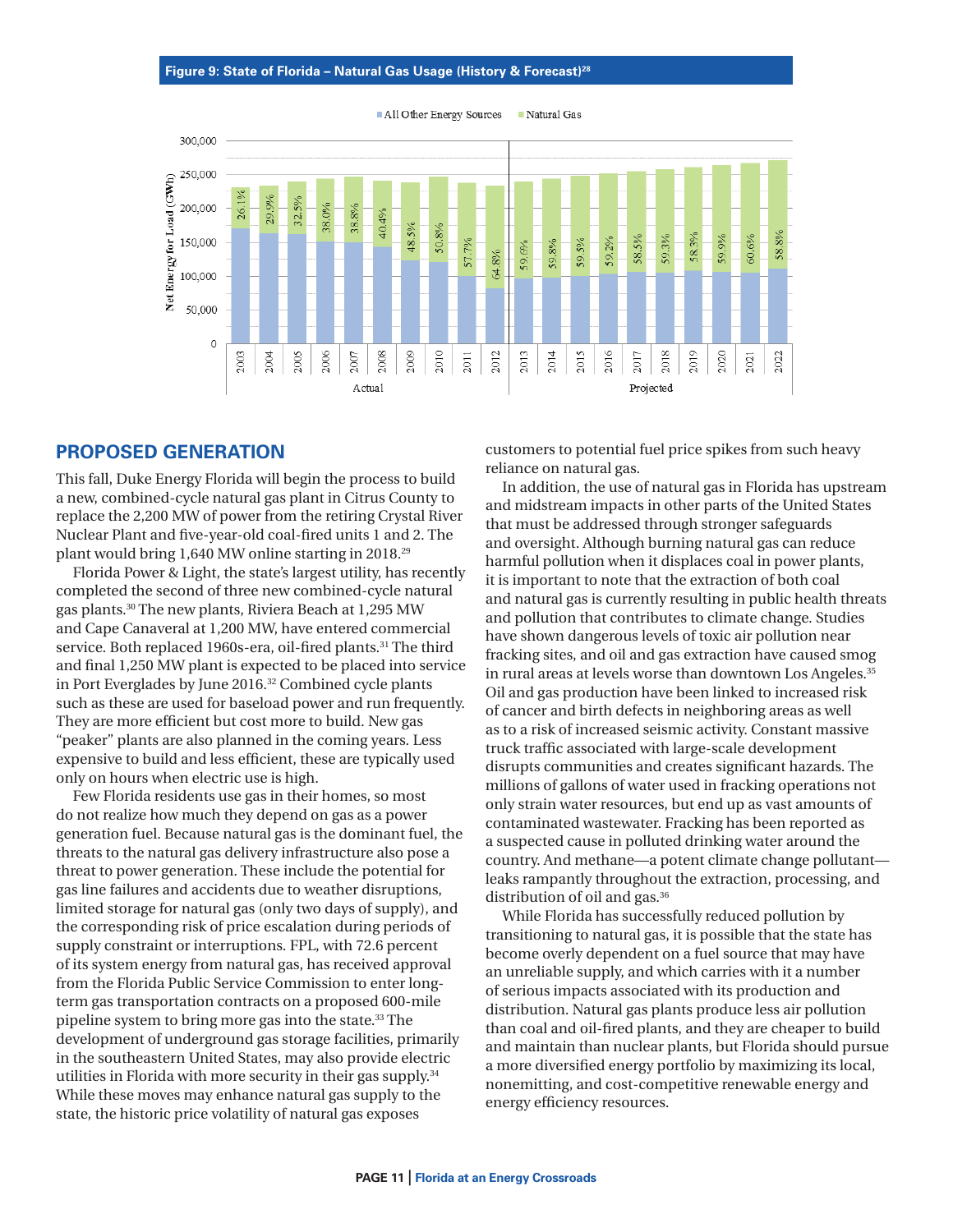### **Figure 9: State of Florida – Natural Gas Usage (History & Forecast)28**



All Other Energy Sources Natural Gas

## **Proposed Generation**

This fall, Duke Energy Florida will begin the process to build a new, combined-cycle natural gas plant in Citrus County to replace the 2,200 MW of power from the retiring Crystal River Nuclear Plant and five-year-old coal-fired units 1 and 2. The plant would bring 1,640 MW online starting in 2018.29

Florida Power & Light, the state's largest utility, has recently completed the second of three new combined-cycle natural gas plants.30 The new plants, Riviera Beach at 1,295 MW and Cape Canaveral at 1,200 MW, have entered commercial service. Both replaced 1960s-era, oil-fired plants.31 The third and final 1,250 MW plant is expected to be placed into service in Port Everglades by June 2016.32 Combined cycle plants such as these are used for baseload power and run frequently. They are more efficient but cost more to build. New gas "peaker" plants are also planned in the coming years. Less expensive to build and less efficient, these are typically used only on hours when electric use is high.

Few Florida residents use gas in their homes, so most do not realize how much they depend on gas as a power generation fuel. Because natural gas is the dominant fuel, the threats to the natural gas delivery infrastructure also pose a threat to power generation. These include the potential for gas line failures and accidents due to weather disruptions, limited storage for natural gas (only two days of supply), and the corresponding risk of price escalation during periods of supply constraint or interruptions. FPL, with 72.6 percent of its system energy from natural gas, has received approval from the Florida Public Service Commission to enter longterm gas transportation contracts on a proposed 600-mile pipeline system to bring more gas into the state.33 The development of underground gas storage facilities, primarily in the southeastern United States, may also provide electric utilities in Florida with more security in their gas supply.34 While these moves may enhance natural gas supply to the state, the historic price volatility of natural gas exposes

customers to potential fuel price spikes from such heavy reliance on natural gas.

In addition, the use of natural gas in Florida has upstream and midstream impacts in other parts of the United States that must be addressed through stronger safeguards and oversight. Although burning natural gas can reduce harmful pollution when it displaces coal in power plants, it is important to note that the extraction of both coal and natural gas is currently resulting in public health threats and pollution that contributes to climate change. Studies have shown dangerous levels of toxic air pollution near fracking sites, and oil and gas extraction have caused smog in rural areas at levels worse than downtown Los Angeles.<sup>35</sup> Oil and gas production have been linked to increased risk of cancer and birth defects in neighboring areas as well as to a risk of increased seismic activity. Constant massive truck traffic associated with large-scale development disrupts communities and creates significant hazards. The millions of gallons of water used in fracking operations not only strain water resources, but end up as vast amounts of contaminated wastewater. Fracking has been reported as a suspected cause in polluted drinking water around the country. And methane—a potent climate change pollutant leaks rampantly throughout the extraction, processing, and distribution of oil and gas.<sup>36</sup>

While Florida has successfully reduced pollution by transitioning to natural gas, it is possible that the state has become overly dependent on a fuel source that may have an unreliable supply, and which carries with it a number of serious impacts associated with its production and distribution. Natural gas plants produce less air pollution than coal and oil-fired plants, and they are cheaper to build and maintain than nuclear plants, but Florida should pursue a more diversified energy portfolio by maximizing its local, nonemitting, and cost-competitive renewable energy and energy efficiency resources.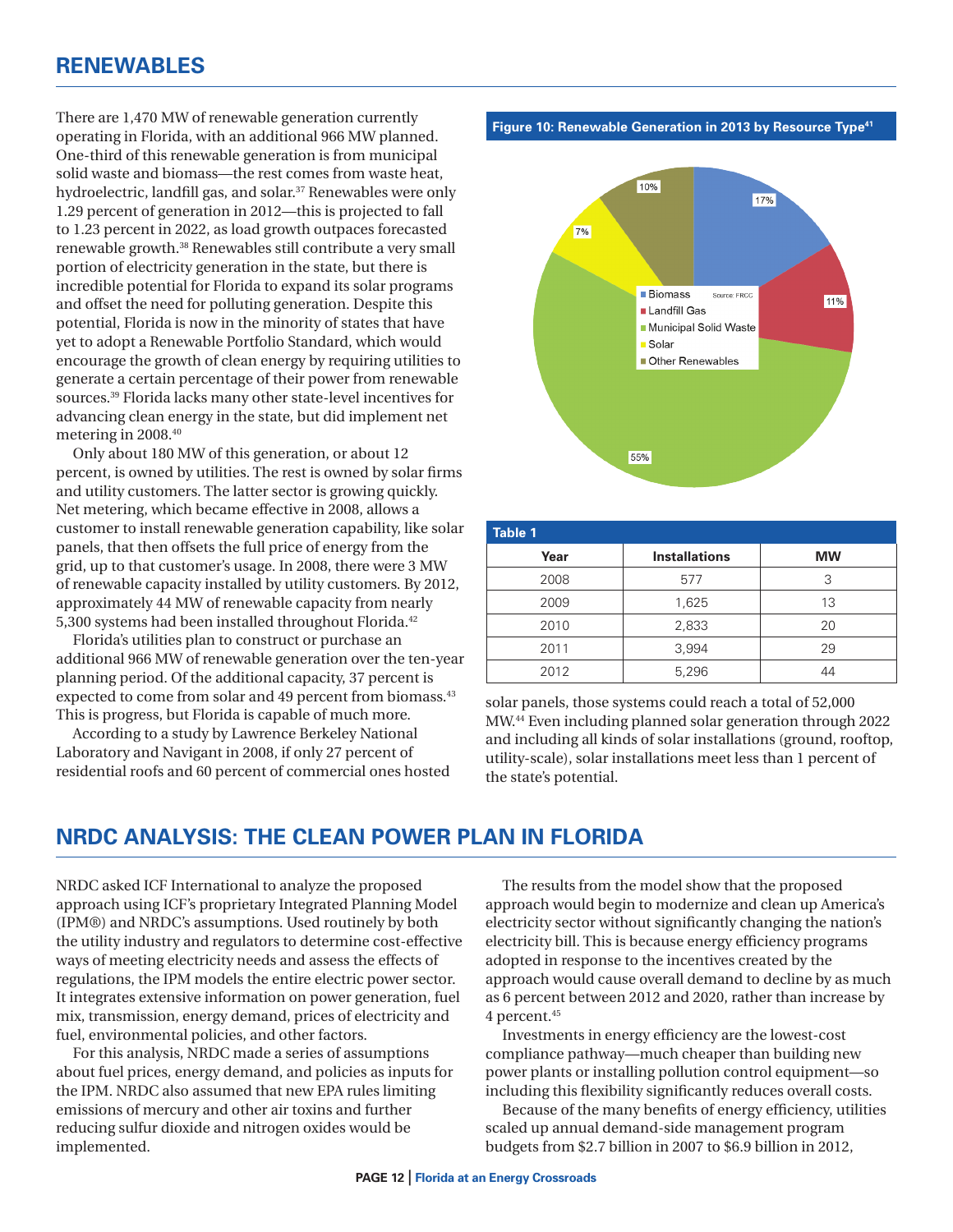There are 1,470 MW of renewable generation currently operating in Florida, with an additional 966 MW planned. One-third of this renewable generation is from municipal solid waste and biomass—the rest comes from waste heat, hydroelectric, landfill gas, and solar.<sup>37</sup> Renewables were only 1.29 percent of generation in 2012—this is projected to fall to 1.23 percent in 2022, as load growth outpaces forecasted renewable growth.38 Renewables still contribute a very small portion of electricity generation in the state, but there is incredible potential for Florida to expand its solar programs and offset the need for polluting generation. Despite this potential, Florida is now in the minority of states that have yet to adopt a Renewable Portfolio Standard, which would encourage the growth of clean energy by requiring utilities to generate a certain percentage of their power from renewable sources.39 Florida lacks many other state-level incentives for advancing clean energy in the state, but did implement net metering in 2008.40

Only about 180 MW of this generation, or about 12 percent, is owned by utilities. The rest is owned by solar firms and utility customers. The latter sector is growing quickly. Net metering, which became effective in 2008, allows a customer to install renewable generation capability, like solar panels, that then offsets the full price of energy from the grid, up to that customer's usage. In 2008, there were 3 MW of renewable capacity installed by utility customers. By 2012, approximately 44 MW of renewable capacity from nearly 5,300 systems had been installed throughout Florida.<sup>42</sup>

Florida's utilities plan to construct or purchase an additional 966 MW of renewable generation over the ten-year planning period. Of the additional capacity, 37 percent is expected to come from solar and 49 percent from biomass.<sup>43</sup> This is progress, but Florida is capable of much more.

According to a study by Lawrence Berkeley National Laboratory and Navigant in 2008, if only 27 percent of residential roofs and 60 percent of commercial ones hosted

**Figure 10: Renewable Generation in 2013 by Resource Type<sup>41</sup>** 



| Table 1 |                      |           |
|---------|----------------------|-----------|
| Year    | <b>Installations</b> | <b>MW</b> |
| 2008    | 577                  | 3         |
| 2009    | 1,625                | 13        |
| 2010    | 2,833                | 20        |
| 2011    | 3,994                | 29        |
| 2012    | 5,296                | 44        |

solar panels, those systems could reach a total of 52,000 MW.44 Even including planned solar generation through 2022 and including all kinds of solar installations (ground, rooftop, utility-scale), solar installations meet less than 1 percent of the state's potential.

## **NRDC Analysis: The Clean Power Plan in Florida**

NRDC asked ICF International to analyze the proposed approach using ICF's proprietary Integrated Planning Model (IPM®) and NRDC's assumptions. Used routinely by both the utility industry and regulators to determine cost-effective ways of meeting electricity needs and assess the effects of regulations, the IPM models the entire electric power sector. It integrates extensive information on power generation, fuel mix, transmission, energy demand, prices of electricity and fuel, environmental policies, and other factors.

For this analysis, NRDC made a series of assumptions about fuel prices, energy demand, and policies as inputs for the IPM. NRDC also assumed that new EPA rules limiting emissions of mercury and other air toxins and further reducing sulfur dioxide and nitrogen oxides would be implemented.

The results from the model show that the proposed approach would begin to modernize and clean up America's electricity sector without significantly changing the nation's electricity bill. This is because energy efficiency programs adopted in response to the incentives created by the approach would cause overall demand to decline by as much as 6 percent between 2012 and 2020, rather than increase by 4 percent.45

Investments in energy efficiency are the lowest-cost compliance pathway—much cheaper than building new power plants or installing pollution control equipment—so including this flexibility significantly reduces overall costs.

Because of the many benefits of energy efficiency, utilities scaled up annual demand-side management program budgets from \$2.7 billion in 2007 to \$6.9 billion in 2012,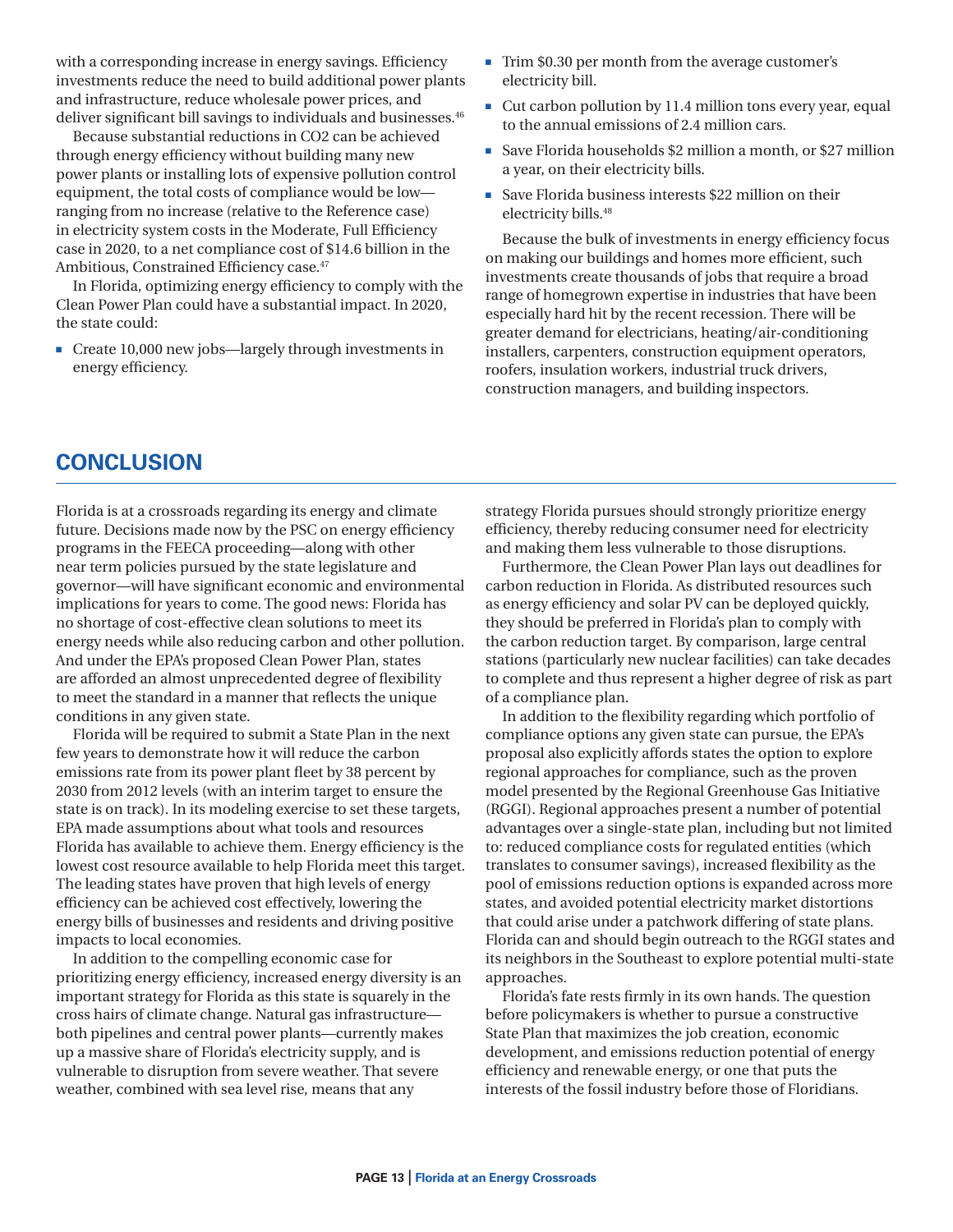with a corresponding increase in energy savings. Efficiency investments reduce the need to build additional power plants and infrastructure, reduce wholesale power prices, and deliver significant bill savings to individuals and businesses.<sup>46</sup>

Because substantial reductions in CO2 can be achieved through energy efficiency without building many new power plants or installing lots of expensive pollution control equipment, the total costs of compliance would be low ranging from no increase (relative to the Reference case) in electricity system costs in the Moderate, Full Efficiency case in 2020, to a net compliance cost of \$14.6 billion in the Ambitious, Constrained Efficiency case.47

In Florida, optimizing energy efficiency to comply with the Clean Power Plan could have a substantial impact. In 2020, the state could:

<sup>n</sup> Create 10,000 new jobs—largely through investments in energy efficiency.

- Trim \$0.30 per month from the average customer's electricity bill.
- $\blacksquare$  Cut carbon pollution by 11.4 million tons every year, equal to the annual emissions of 2.4 million cars.
- Save Florida households \$2 million a month, or \$27 million a year, on their electricity bills.
- $\blacksquare$  Save Florida business interests \$22 million on their electricity bills.48

Because the bulk of investments in energy efficiency focus on making our buildings and homes more efficient, such investments create thousands of jobs that require a broad range of homegrown expertise in industries that have been especially hard hit by the recent recession. There will be greater demand for electricians, heating/air-conditioning installers, carpenters, construction equipment operators, roofers, insulation workers, industrial truck drivers, construction managers, and building inspectors.

## **Conclusion**

Florida is at a crossroads regarding its energy and climate future. Decisions made now by the PSC on energy efficiency programs in the FEECA proceeding—along with other near term policies pursued by the state legislature and governor—will have significant economic and environmental implications for years to come. The good news: Florida has no shortage of cost-effective clean solutions to meet its energy needs while also reducing carbon and other pollution. And under the EPA's proposed Clean Power Plan, states are afforded an almost unprecedented degree of flexibility to meet the standard in a manner that reflects the unique conditions in any given state.

Florida will be required to submit a State Plan in the next few years to demonstrate how it will reduce the carbon emissions rate from its power plant fleet by 38 percent by 2030 from 2012 levels (with an interim target to ensure the state is on track). In its modeling exercise to set these targets, EPA made assumptions about what tools and resources Florida has available to achieve them. Energy efficiency is the lowest cost resource available to help Florida meet this target. The leading states have proven that high levels of energy efficiency can be achieved cost effectively, lowering the energy bills of businesses and residents and driving positive impacts to local economies.

In addition to the compelling economic case for prioritizing energy efficiency, increased energy diversity is an important strategy for Florida as this state is squarely in the cross hairs of climate change. Natural gas infrastructure both pipelines and central power plants—currently makes up a massive share of Florida's electricity supply, and is vulnerable to disruption from severe weather. That severe weather, combined with sea level rise, means that any

strategy Florida pursues should strongly prioritize energy efficiency, thereby reducing consumer need for electricity and making them less vulnerable to those disruptions.

Furthermore, the Clean Power Plan lays out deadlines for carbon reduction in Florida. As distributed resources such as energy efficiency and solar PV can be deployed quickly, they should be preferred in Florida's plan to comply with the carbon reduction target. By comparison, large central stations (particularly new nuclear facilities) can take decades to complete and thus represent a higher degree of risk as part of a compliance plan.

In addition to the flexibility regarding which portfolio of compliance options any given state can pursue, the EPA's proposal also explicitly affords states the option to explore regional approaches for compliance, such as the proven model presented by the Regional Greenhouse Gas Initiative (RGGI). Regional approaches present a number of potential advantages over a single-state plan, including but not limited to: reduced compliance costs for regulated entities (which translates to consumer savings), increased flexibility as the pool of emissions reduction options is expanded across more states, and avoided potential electricity market distortions that could arise under a patchwork differing of state plans. Florida can and should begin outreach to the RGGI states and its neighbors in the Southeast to explore potential multi-state approaches.

Florida's fate rests firmly in its own hands. The question before policymakers is whether to pursue a constructive State Plan that maximizes the job creation, economic development, and emissions reduction potential of energy efficiency and renewable energy, or one that puts the interests of the fossil industry before those of Floridians.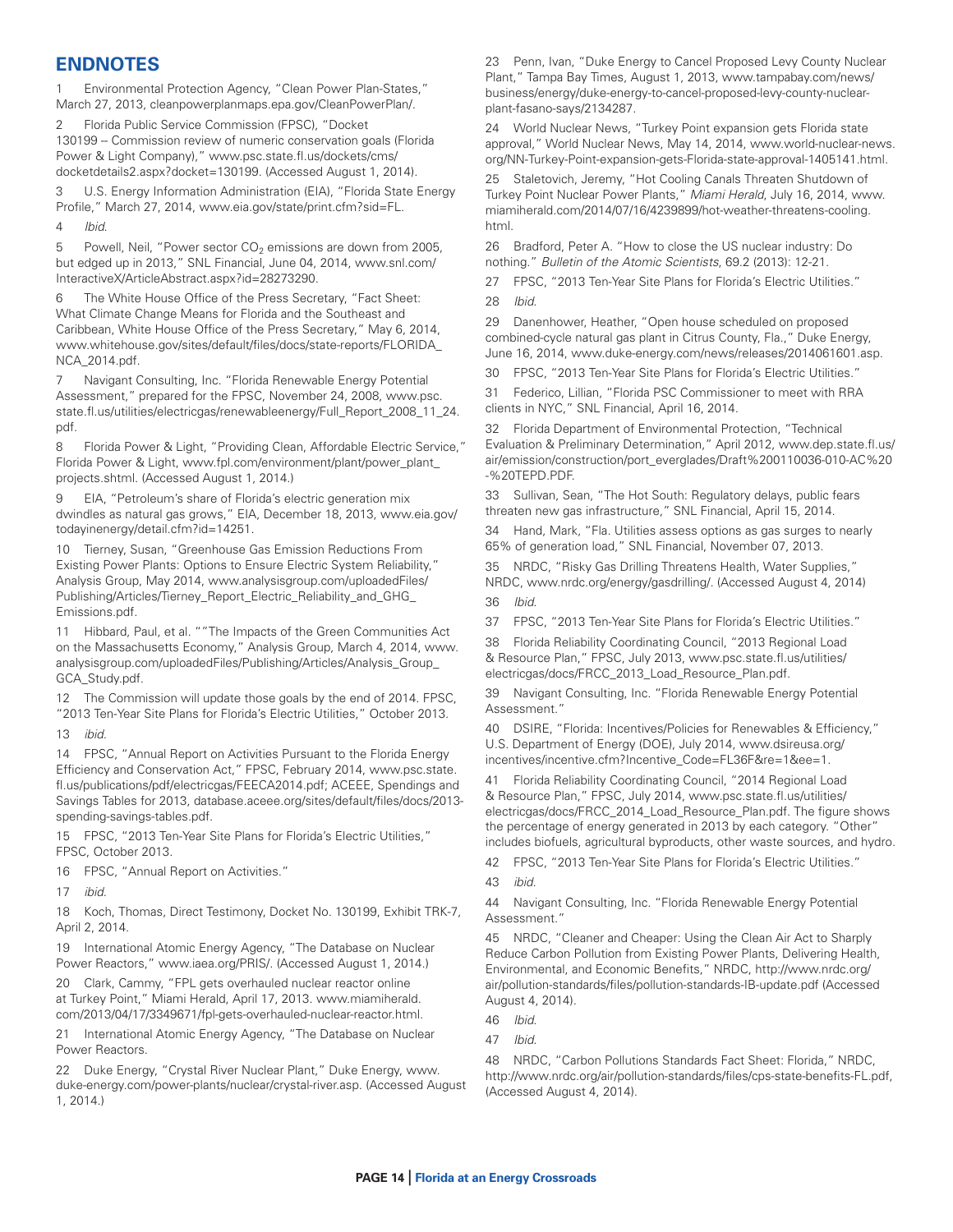## **Endnotes**

1 [Environmental Protection Agency, "Clean Power Plan-States,"](http://cleanpowerplanmaps.epa.gov/CleanPowerPlan/)  [March 27, 2013, cleanpowerplanmaps.epa.gov/CleanPowerPlan/.](http://cleanpowerplanmaps.epa.gov/CleanPowerPlan/)

2 Florida Public Service Commission (FPSC), "Docket 130199 -- Commission review of numeric conservation goals (Florida Power & Light Company)," [www.psc.state.fl.us/dockets/cms/](http://www.psc.state.fl.us/dockets/cms/docketdetails2.aspx?docket=130199) [docketdetails2.aspx?docket=130199](http://www.psc.state.fl.us/dockets/cms/docketdetails2.aspx?docket=130199). (Accessed August 1, 2014).

3 U.S. Energy Information Administration (EIA), "Florida State Energy Profile," [March 27, 2014, www.eia.gov/state/print.cfm?sid=FL.](file:///C:\Users\kmccormick\AppData\Local\Microsoft\Windows\Temporary%20Internet%20Files\Content.Outlook\EKLRXE8X\March%2027,%202014,%20www.eia.gov\state\print.cfm%3fsid=FL)

4 *Ibid*.

5 Powell, Neil, "Power sector  $CO<sub>2</sub>$  emissions are down from 2005, but edged up in 2013," SNL Financial, June 04, 2014, www.snl.com/ InteractiveX/ArticleAbstract.aspx?id=28273290.

6 The White House Office of the Press Secretary, "Fact Sheet: What Climate Change Means for Florida and the Southeast and Caribbean, White House Office of the Press Secretary," May 6, 2014, [www.whitehouse.gov/sites/default/files/docs/state-reports/FLORIDA\\_](http://www.whitehouse.gov/sites/default/files/docs/state-reports/FLORIDA_NCA_2014.pdf) [NCA\\_2014.pdf](http://www.whitehouse.gov/sites/default/files/docs/state-reports/FLORIDA_NCA_2014.pdf).

7 Navigant Consulting, Inc. "Florida Renewable Energy Potential Assessment," prepared for the FPSC, November 24, 2008, [www.psc.](http://www.psc.state.fl.us/utilities/electricgas/renewableenergy/Full_Report_2008_11_24.pdf) [state.fl.us/utilities/electricgas/renewableenergy/Full\\_Report\\_2008\\_11\\_24.](http://www.psc.state.fl.us/utilities/electricgas/renewableenergy/Full_Report_2008_11_24.pdf) [pdf.](http://www.psc.state.fl.us/utilities/electricgas/renewableenergy/Full_Report_2008_11_24.pdf)

8 Florida Power & Light, "Providing Clean, Affordable Electric Service," Florida Power & Light, www.fpl.com/environment/plant/power\_plant\_ projects.shtml. (Accessed August 1, 2014.)

9 EIA, "Petroleum's share of Florida's electric generation mix dwindles as natural gas grows," EIA, December 18, 2013, [www.eia.gov/](http://www.eia.gov/todayinenergy/detail.cfm?id=14251) [todayinenergy/detail.cfm?id=14251](http://www.eia.gov/todayinenergy/detail.cfm?id=14251).

10 Tierney, Susan, "Greenhouse Gas Emission Reductions From Existing Power Plants: Options to Ensure Electric System Reliability," Analysis Group, May 2014, [www.analysisgroup.com/uploadedFiles/](http://www.analysisgroup.com/uploadedFiles/Publishing/Articles/Tierney_Report_Electric_Reliability_and_GHG_Emissions.pdf) [Publishing/Articles/Tierney\\_Report\\_Electric\\_Reliability\\_and\\_GHG\\_](http://www.analysisgroup.com/uploadedFiles/Publishing/Articles/Tierney_Report_Electric_Reliability_and_GHG_Emissions.pdf) [Emissions.pdf](http://www.analysisgroup.com/uploadedFiles/Publishing/Articles/Tierney_Report_Electric_Reliability_and_GHG_Emissions.pdf).

11 Hibbard, Paul, et al. ""The Impacts of the Green Communities Act on the Massachusetts Economy," Analysis Group, March 4, 2014, [www.](http://www.analysisgroup.com/uploadedFiles/Publishing/Articles/Analysis_Group_GCA_Study.pdf) [analysisgroup.com/uploadedFiles/Publishing/Articles/Analysis\\_Group\\_](http://www.analysisgroup.com/uploadedFiles/Publishing/Articles/Analysis_Group_GCA_Study.pdf) [GCA\\_Study.pdf](http://www.analysisgroup.com/uploadedFiles/Publishing/Articles/Analysis_Group_GCA_Study.pdf).

12 The Commission will update those goals by the end of 2014. FPSC, "2013 Ten-Year Site Plans for Florida's Electric Utilities," October 2013.

13 *ibid*.

14 FPSC, "Annual Report on Activities Pursuant to the Florida Energy Efficiency and Conservation Act," FPSC, February 2014, [www.psc.state.](http://www.psc.state.fl.us/publications/pdf/electricgas/FEECA2014.pdf) [fl.us/publications/pdf/electricgas/FEECA2014.pdf;](http://www.psc.state.fl.us/publications/pdf/electricgas/FEECA2014.pdf) ACEEE, Spendings and Savings Tables for 2013, [database.aceee.org/sites/default/files/docs/2013](http://database.aceee.org/sites/default/files/docs/2013-spending-savings-tables.pdf) [spending-savings-tables.pdf.](http://database.aceee.org/sites/default/files/docs/2013-spending-savings-tables.pdf)

15 FPSC, "2013 Ten-Year Site Plans for Florida's Electric Utilities," FPSC, October 2013.

16 FPSC, "Annual Report on Activities."

17 *ibid*.

18 Koch, Thomas, Direct Testimony, Docket No. 130199, Exhibit TRK-7, April 2, 2014.

19 International Atomic Energy Agency, "The Database on Nuclear Power Reactors," [www.iaea.org/PRIS/](http://www.iaea.org/PRIS/). (Accessed August 1, 2014.)

20 Clark, Cammy, "FPL gets overhauled nuclear reactor online at Turkey Point," Miami Herald, April 17, 2013. www.miamiherald. com/2013/04/17/3349671/fpl-gets-overhauled-nuclear-reactor.html.

International Atomic Energy Agency, "The Database on Nuclear Power Reactors.

22 Duke Energy, "Crystal River Nuclear Plant," Duke Energy, [www.](http://www.duke-energy.com/power-plants/nuclear/crystal-river.asp) [duke-energy.com/power-plants/nuclear/crystal-river.asp.](http://www.duke-energy.com/power-plants/nuclear/crystal-river.asp) (Accessed August 1, 2014.)

23 Penn, Ivan, "Duke Energy to Cancel Proposed Levy County Nuclear Plant," Tampa Bay Times, August 1, 2013, www.tampabay.com/news/ business/energy/duke-energy-to-cancel-proposed-levy-county-nuclearplant-fasano-says/2134287.

24 World Nuclear News, "Turkey Point expansion gets Florida state approval," World Nuclear News, May 14, 2014, www.world-nuclear-news. org/NN-Turkey-Point-expansion-gets-Florida-state-approval-1405141.html.

25 Staletovich, Jeremy, "Hot Cooling Canals Threaten Shutdown of Turkey Point Nuclear Power Plants," *Miami Herald*, July 16, 2014, www. miamiherald.com/2014/07/16/4239899/hot-weather-threatens-cooling. html.

26 Bradford, Peter A. "How to close the US nuclear industry: Do nothing." *Bulletin of the Atomic Scientists*, 69.2 (2013): 12-21.

27 FPSC, "2013 Ten-Year Site Plans for Florida's Electric Utilities." 28 *Ibid*.

29 Danenhower, Heather, "Open house scheduled on proposed combined-cycle natural gas plant in Citrus County, Fla.," Duke Energy, June 16, 2014, www.duke-energy.com/news/releases/2014061601.asp.

30 FPSC, "2013 Ten-Year Site Plans for Florida's Electric Utilities."

31 Federico, Lillian, "Florida PSC Commissioner to meet with RRA clients in NYC," SNL Financial, April 16, 2014.

32 Florida Department of Environmental Protection, "Technical Evaluation & Preliminary Determination," April 2012, [www.dep.state.fl.us/](file:///C:\Users\kmccormick\AppData\Local\Microsoft\Windows\Temporary%20Internet%20Files\Content.Outlook\EKLRXE8X\www.dep.state.fl.us\air\emission\construction\port_everglades\Draft%200110036-010-AC%20-%20TEPD.PDF) [air/emission/construction/port\\_everglades/Draft%200110036-010-AC%20](file:///C:\Users\kmccormick\AppData\Local\Microsoft\Windows\Temporary%20Internet%20Files\Content.Outlook\EKLRXE8X\www.dep.state.fl.us\air\emission\construction\port_everglades\Draft%200110036-010-AC%20-%20TEPD.PDF) [-%20TEPD.PDF](file:///C:\Users\kmccormick\AppData\Local\Microsoft\Windows\Temporary%20Internet%20Files\Content.Outlook\EKLRXE8X\www.dep.state.fl.us\air\emission\construction\port_everglades\Draft%200110036-010-AC%20-%20TEPD.PDF).

33 Sullivan, Sean, "The Hot South: Regulatory delays, public fears threaten new gas infrastructure," SNL Financial, April 15, 2014.

34 Hand, Mark, "Fla. Utilities assess options as gas surges to nearly 65% of generation load," SNL Financial, November 07, 2013.

35 NRDC, "Risky Gas Drilling Threatens Health, Water Supplies," NRDC, [www.nrdc.org/energy/gasdrilling/](http://www.nrdc.org/energy/gasdrilling/). (Accessed August 4, 2014)

36 *Ibid*.

37 FPSC, "2013 Ten-Year Site Plans for Florida's Electric Utilities."

38 Florida Reliability Coordinating Council, "2013 Regional Load & Resource Plan," FPSC, July 2013, www.psc.state.fl.us/utilities/ electricgas/docs/FRCC\_2013\_Load\_Resource\_Plan.pdf.

39 Navigant Consulting, Inc. "Florida Renewable Energy Potential Assessment."

40 DSIRE, "Florida: Incentives/Policies for Renewables & Efficiency," U.S. Department of Energy (DOE), July 2014, [www.dsireusa.org/](file:///C:\Users\kmccormick\AppData\Local\Microsoft\Windows\Temporary%20Internet%20Files\Content.Outlook\EKLRXE8X\www.dsireusa.org\incentives\incentive.cfm%3fIncentive_Code=FL36F&re=1&ee=1) [incentives/incentive.cfm?Incentive\\_Code=FL36F&re=1&ee=1.](file:///C:\Users\kmccormick\AppData\Local\Microsoft\Windows\Temporary%20Internet%20Files\Content.Outlook\EKLRXE8X\www.dsireusa.org\incentives\incentive.cfm%3fIncentive_Code=FL36F&re=1&ee=1)

41 Florida Reliability Coordinating Council, "2014 Regional Load & Resource Plan," FPSC, July 2014, [www.psc.state.fl.us/utilities/](file:///C:\Users\kmccormick\AppData\Local\Microsoft\Windows\Temporary%20Internet%20Files\Content.Outlook\EKLRXE8X\www.psc.state.fl.us\utilities\electricgas\docs\FRCC_2014_Load_Resource_Plan.pdf) [electricgas/docs/FRCC\\_2014\\_Load\\_Resource\\_Plan.pdf.](file:///C:\Users\kmccormick\AppData\Local\Microsoft\Windows\Temporary%20Internet%20Files\Content.Outlook\EKLRXE8X\www.psc.state.fl.us\utilities\electricgas\docs\FRCC_2014_Load_Resource_Plan.pdf) The figure shows the percentage of energy generated in 2013 by each category. "Other" includes biofuels, agricultural byproducts, other waste sources, and hydro.

42 FPSC, "2013 Ten-Year Site Plans for Florida's Electric Utilities."

43 *ibid*.

44 Navigant Consulting, Inc. "Florida Renewable Energy Potential Assessment."

45 NRDC, "Cleaner and Cheaper: Using the Clean Air Act to Sharply Reduce Carbon Pollution from Existing Power Plants, Delivering Health, Environmental, and Economic Benefits," NRDC, [http://www.nrdc.org/](http://www.nrdc.org/air/pollution-standards/files/pollution-standards-IB-update.pdf) [air/pollution-standards/files/pollution-standards-IB-update.pdf](http://www.nrdc.org/air/pollution-standards/files/pollution-standards-IB-update.pdf) (Accessed August 4, 2014).

46 *Ibid*.

47 *Ibid*.

48 NRDC, "Carbon Pollutions Standards Fact Sheet: Florida," NRDC, [http://www.nrdc.org/air/pollution-standards/files/cps-state-benefits-FL.pdf,](http://www.nrdc.org/air/pollution-standards/files/cps-state-benefits-FL.pdf) (Accessed August 4, 2014).